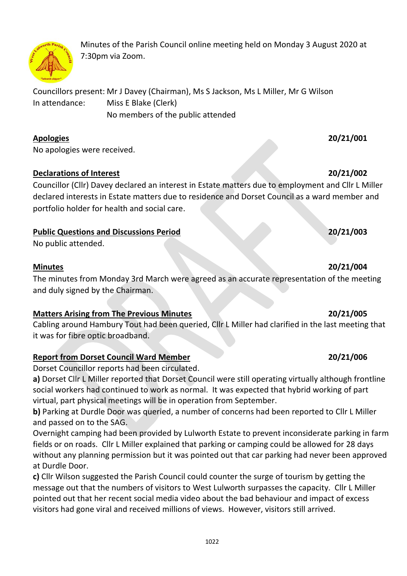Minutes of the Parish Council online meeting held on Monday 3 August 2020 at 7:30pm via Zoom.

Councillors present: Mr J Davey (Chairman), Ms S Jackson, Ms L Miller, Mr G Wilson In attendance: Miss E Blake (Clerk) No members of the public attended

### **Apologies 20/21/001**

No apologies were received.

### **Declarations of Interest 20/21/002**

Councillor (Cllr) Davey declared an interest in Estate matters due to employment and Cllr L Miller declared interests in Estate matters due to residence and Dorset Council as a ward member and portfolio holder for health and social care.

# **Public Questions and Discussions Period 20/21/003**

No public attended.

### **Minutes 20/21/004**

The minutes from Monday 3rd March were agreed as an accurate representation of the meeting and duly signed by the Chairman.

# **Matters Arising from The Previous Minutes 20/21/005**

Cabling around Hambury Tout had been queried, Cllr L Miller had clarified in the last meeting that it was for fibre optic broadband.

# **Report from Dorset Council Ward Member 20/21/006**

Dorset Councillor reports had been circulated.

**a)** Dorset Cllr L Miller reported that Dorset Council were still operating virtually although frontline social workers had continued to work as normal. It was expected that hybrid working of part virtual, part physical meetings will be in operation from September.

**b)** Parking at Durdle Door was queried, a number of concerns had been reported to Cllr L Miller and passed on to the SAG.

Overnight camping had been provided by Lulworth Estate to prevent inconsiderate parking in farm fields or on roads. Cllr L Miller explained that parking or camping could be allowed for 28 days without any planning permission but it was pointed out that car parking had never been approved at Durdle Door.

**c)** Cllr Wilson suggested the Parish Council could counter the surge of tourism by getting the message out that the numbers of visitors to West Lulworth surpasses the capacity. Cllr L Miller pointed out that her recent social media video about the bad behaviour and impact of excess visitors had gone viral and received millions of views. However, visitors still arrived.

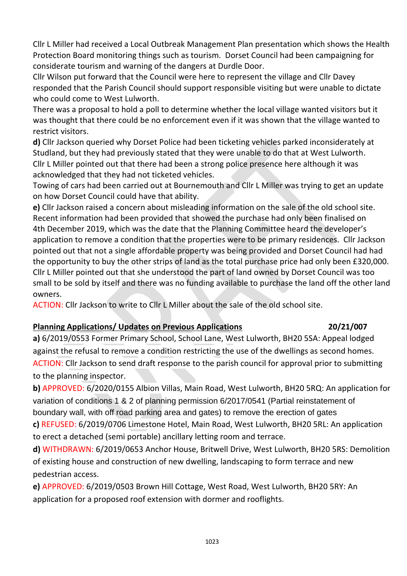Cllr L Miller had received a Local Outbreak Management Plan presentation which shows the Health Protection Board monitoring things such as tourism. Dorset Council had been campaigning for considerate tourism and warning of the dangers at Durdle Door.

Cllr Wilson put forward that the Council were here to represent the village and Cllr Davey responded that the Parish Council should support responsible visiting but were unable to dictate who could come to West Lulworth.

There was a proposal to hold a poll to determine whether the local village wanted visitors but it was thought that there could be no enforcement even if it was shown that the village wanted to restrict visitors.

**d)** Cllr Jackson queried why Dorset Police had been ticketing vehicles parked inconsiderately at Studland, but they had previously stated that they were unable to do that at West Lulworth. Cllr L Miller pointed out that there had been a strong police presence here although it was acknowledged that they had not ticketed vehicles.

Towing of cars had been carried out at Bournemouth and Cllr L Miller was trying to get an update on how Dorset Council could have that ability.

**e)** Cllr Jackson raised a concern about misleading information on the sale of the old school site. Recent information had been provided that showed the purchase had only been finalised on 4th December 2019, which was the date that the Planning Committee heard the developer's application to remove a condition that the properties were to be primary residences. Cllr Jackson pointed out that not a single affordable property was being provided and Dorset Council had had the opportunity to buy the other strips of land as the total purchase price had only been £320,000. Cllr L Miller pointed out that she understood the part of land owned by Dorset Council was too small to be sold by itself and there was no funding available to purchase the land off the other land owners.

ACTION: Cllr Jackson to write to Cllr L Miller about the sale of the old school site.

# **Planning Applications/ Updates on Previous Applications 20/21/007**

# **a)** 6/2019/0553 Former Primary School, School Lane, West Lulworth, BH20 5SA: Appeal lodged against the refusal to remove a condition restricting the use of the dwellings as second homes. ACTION: Cllr Jackson to send draft response to the parish council for approval prior to submitting to the planning inspector.

**b)** APPROVED: 6/2020/0155 Albion Villas, Main Road, West Lulworth, BH20 5RQ: An application for variation of conditions 1 & 2 of planning permission 6/2017/0541 (Partial reinstatement of boundary wall, with off road parking area and gates) to remove the erection of gates **c)** REFUSED: 6/2019/0706 Limestone Hotel, Main Road, West Lulworth, BH20 5RL: An application

to erect a detached (semi portable) ancillary letting room and terrace.

**d)** WITHDRAWN: 6/2019/0653 Anchor House, Britwell Drive, West Lulworth, BH20 5RS: Demolition of existing house and construction of new dwelling, landscaping to form terrace and new pedestrian access.

**e)** APPROVED: 6/2019/0503 Brown Hill Cottage, West Road, West Lulworth, BH20 5RY: An application for a proposed roof extension with dormer and rooflights.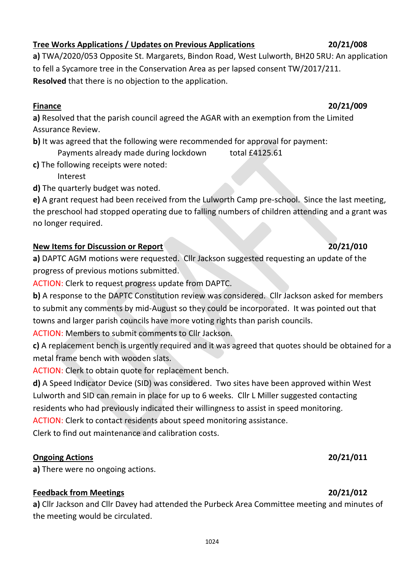### **Tree Works Applications / Updates on Previous Applications 20/21/008**

**a)** TWA/2020/053 Opposite St. Margarets, Bindon Road, West Lulworth, BH20 5RU: An application to fell a Sycamore tree in the Conservation Area as per lapsed consent TW/2017/211. **Resolved** that there is no objection to the application.

### **Finance 20/21/009**

**a)** Resolved that the parish council agreed the AGAR with an exemption from the Limited Assurance Review.

**b**) It was agreed that the following were recommended for approval for payment: Payments already made during lockdown total £4125.61

**c)** The following receipts were noted:

Interest

**d)** The quarterly budget was noted.

**e)** A grant request had been received from the Lulworth Camp pre-school. Since the last meeting, the preschool had stopped operating due to falling numbers of children attending and a grant was no longer required.

# **New Items for Discussion or Report 20/21/010**

**a)** DAPTC AGM motions were requested. Cllr Jackson suggested requesting an update of the progress of previous motions submitted.

ACTION: Clerk to request progress update from DAPTC.

**b)** A response to the DAPTC Constitution review was considered. Cllr Jackson asked for members to submit any comments by mid-August so they could be incorporated. It was pointed out that towns and larger parish councils have more voting rights than parish councils.

ACTION: Members to submit comments to Cllr Jackson.

**c)** A replacement bench is urgently required and it was agreed that quotes should be obtained for a metal frame bench with wooden slats.

ACTION: Clerk to obtain quote for replacement bench.

**d)** A Speed Indicator Device (SID) was considered. Two sites have been approved within West Lulworth and SID can remain in place for up to 6 weeks. Cllr L Miller suggested contacting residents who had previously indicated their willingness to assist in speed monitoring.

ACTION: Clerk to contact residents about speed monitoring assistance.

Clerk to find out maintenance and calibration costs.

# **Ongoing Actions 20/21/011**

**a)** There were no ongoing actions.

# **Feedback from Meetings 20/21/012**

**a)** Cllr Jackson and Cllr Davey had attended the Purbeck Area Committee meeting and minutes of the meeting would be circulated.